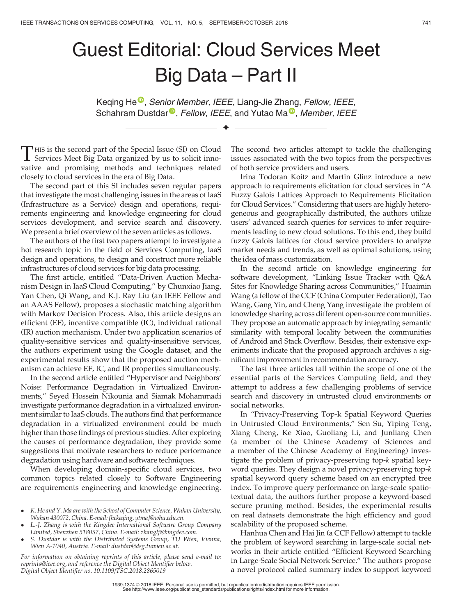## Guest Editorial: Cloud Services Meet Big Data – Part II

K[e](https://orcid.org/0000-0002-7554-3638)qing He<sup>o</sup>[,](https://orcid.org/0000-0002-7554-3638) Seni[o](https://orcid.org/0000-0001-6872-8821)r Member, IEEE, Li[a](https://orcid.org/0000-0003-4239-2009)ng-Jie Zhang, Fellow, IEEE, Schahram Dustdar<sup>®</sup>[,](https://orcid.org/0000-0003-4239-2009) Fellow, IEEE, and Yutao Ma<sup>®</sup>, Member, IEEE

 $\blacklozenge$ 

THIS is the second part of the Special Issue (SI) on Cloud<br>Services Meet Big Data organized by us to solicit innovative and promising methods and techniques related closely to cloud services in the era of Big Data.

The second part of this SI includes seven regular papers that investigate the most challenging issues in the areas of IaaS (Infrastructure as a Service) design and operations, requirements engineering and knowledge engineering for cloud services development, and service search and discovery. We present a brief overview of the seven articles as follows.

The authors of the first two papers attempt to investigate a hot research topic in the field of Services Computing, IaaS design and operations, to design and construct more reliable infrastructures of cloud services for big data processing.

The first article, entitled "Data-Driven Auction Mechanism Design in IaaS Cloud Computing," by Chunxiao Jiang, Yan Chen, Qi Wang, and K.J. Ray Liu (an IEEE Fellow and an AAAS Fellow), proposes a stochastic matching algorithm with Markov Decision Process. Also, this article designs an efficient (EF), incentive compatible (IC), individual rational (IR) auction mechanism. Under two application scenarios of quality-sensitive services and quality-insensitive services, the authors experiment using the Google dataset, and the experimental results show that the proposed auction mechanism can achieve EF, IC, and IR properties simultaneously.

In the second article entitled "Hypervisor and Neighbors' Noise: Performance Degradation in Virtualized Environments," Seyed Hossein Nikounia and Siamak Mohammadi investigate performance degradation in a virtualized environment similar to IaaS clouds. The authors find that performance degradation in a virtualized environment could be much higher than those findings of previous studies. After exploring the causes of performance degradation, they provide some suggestions that motivate researchers to reduce performance degradation using hardware and software techniques.

When developing domain-specific cloud services, two common topics related closely to Software Engineering are requirements engineering and knowledge engineering.

The second two articles attempt to tackle the challenging issues associated with the two topics from the perspectives of both service providers and users.

Irina Todoran Koitz and Martin Glinz introduce a new approach to requirements elicitation for cloud services in "A Fuzzy Galois Lattices Approach to Requirements Elicitation for Cloud Services." Considering that users are highly heterogeneous and geographically distributed, the authors utilize users' advanced search queries for services to infer requirements leading to new cloud solutions. To this end, they build fuzzy Galois lattices for cloud service providers to analyze market needs and trends, as well as optimal solutions, using the idea of mass customization.

In the second article on knowledge engineering for software development, "Linking Issue Tracker with Q&A Sites for Knowledge Sharing across Communities," Huaimin Wang (a fellow of the CCF (China Computer Federation)), Tao Wang, Gang Yin, and Cheng Yang investigate the problem of knowledge sharing across different open-source communities. They propose an automatic approach by integrating semantic similarity with temporal locality between the communities of Android and Stack Overflow. Besides, their extensive experiments indicate that the proposed approach archives a significant improvement in recommendation accuracy.

The last three articles fall within the scope of one of the essential parts of the Services Computing field, and they attempt to address a few challenging problems of service search and discovery in untrusted cloud environments or social networks.

In "Privacy-Preserving Top-k Spatial Keyword Queries in Untrusted Cloud Environments," Sen Su, Yiping Teng, Xiang Cheng, Ke Xiao, Guoliang Li, and Junliang Chen (a member of the Chinese Academy of Sciences and a member of the Chinese Academy of Engineering) investigate the problem of privacy-preserving top-k spatial keyword queries. They design a novel privacy-preserving top-k spatial keyword query scheme based on an encrypted tree index. To improve query performance on large-scale spatiotextual data, the authors further propose a keyword-based secure pruning method. Besides, the experimental results on real datasets demonstrate the high efficiency and good scalability of the proposed scheme.

Hanhua Chen and Hai Jin (a CCF Fellow) attempt to tackle the problem of keyword searching in large-scale social networks in their article entitled "Efficient Keyword Searching in Large-Scale Social Network Service." The authors propose a novel protocol called summary index to support keyword

K. He and Y. Ma are with the School of Computer Science, Wuhan University, Wuhan 430072, China. E-mail: [{hekeqing, ytma}@whu.edu.cn](mailto:).

L.-J. Zhang is with the Kingdee International Software Group Company Limited, Shenzhen 518057, China. E-mail: [zhanglj@kingdee.com](mailto:).

S. Dustdar is with the Distributed Systems Group, TU Wien, Vienna, Wien A-1040, Austria. E-mail: [dustdar@dsg.tuwien.ac.at.](mailto:)

For information on obtaining reprints of this article, please send e-mail to: reprints@ieee.org, and reference the Digital Object Identifier below. Digital Object Identifier no. 10.1109/TSC.2018.2865019

<sup>1939-1374</sup> 2018 IEEE. Personal use is permitted, but republication/redistribution requires IEEE permission. See http://www.ieee.org/publications\_standards/publications/rights/index.html for more information.